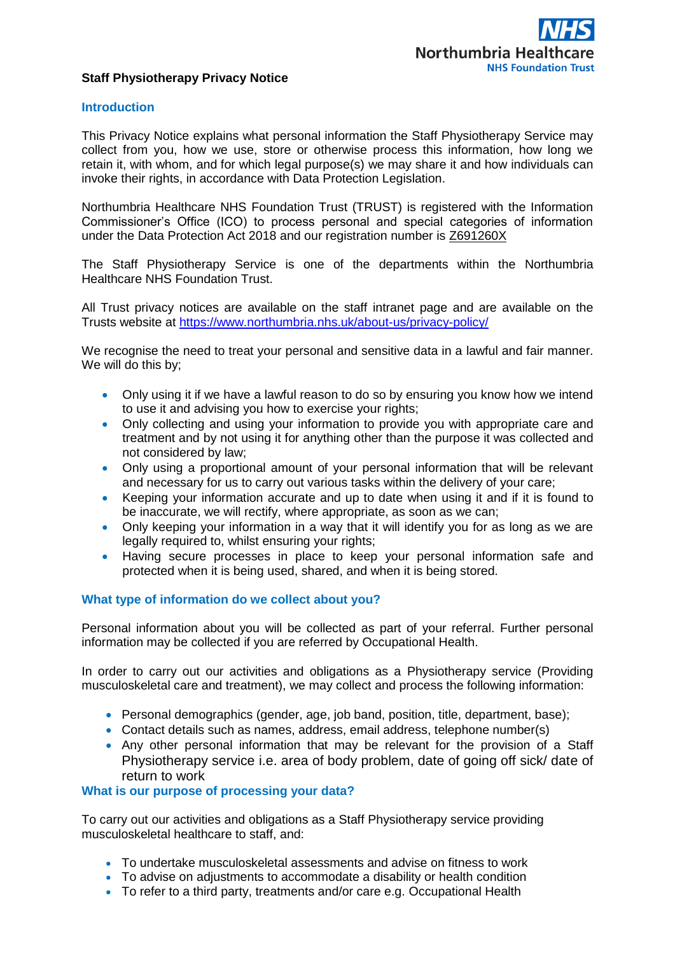## **Staff Physiotherapy Privacy Notice**

## **Introduction**

This Privacy Notice explains what personal information the Staff Physiotherapy Service may collect from you, how we use, store or otherwise process this information, how long we retain it, with whom, and for which legal purpose(s) we may share it and how individuals can invoke their rights, in accordance with Data Protection Legislation.

Northumbria Healthcare NHS Foundation Trust (TRUST) is registered with the Information Commissioner's Office (ICO) to process personal and special categories of information under the Data Protection Act 2018 and our registration number is Z691260X

The Staff Physiotherapy Service is one of the departments within the Northumbria Healthcare NHS Foundation Trust.

All Trust privacy notices are available on the staff intranet page and are available on the Trusts website at <https://www.northumbria.nhs.uk/about-us/privacy-policy/>

We recognise the need to treat your personal and sensitive data in a lawful and fair manner. We will do this by;

- Only using it if we have a lawful reason to do so by ensuring you know how we intend to use it and advising you how to exercise your rights;
- Only collecting and using your information to provide you with appropriate care and treatment and by not using it for anything other than the purpose it was collected and not considered by law;
- Only using a proportional amount of your personal information that will be relevant and necessary for us to carry out various tasks within the delivery of your care;
- Keeping your information accurate and up to date when using it and if it is found to be inaccurate, we will rectify, where appropriate, as soon as we can;
- Only keeping your information in a way that it will identify you for as long as we are legally required to, whilst ensuring your rights;
- Having secure processes in place to keep your personal information safe and protected when it is being used, shared, and when it is being stored.

## **What type of information do we collect about you?**

Personal information about you will be collected as part of your referral. Further personal information may be collected if you are referred by Occupational Health.

In order to carry out our activities and obligations as a Physiotherapy service (Providing musculoskeletal care and treatment), we may collect and process the following information:

- Personal demographics (gender, age, job band, position, title, department, base);
- Contact details such as names, address, email address, telephone number(s)
- Any other personal information that may be relevant for the provision of a Staff Physiotherapy service i.e. area of body problem, date of going off sick/ date of return to work

### **What is our purpose of processing your data?**

To carry out our activities and obligations as a Staff Physiotherapy service providing musculoskeletal healthcare to staff, and:

- To undertake musculoskeletal assessments and advise on fitness to work
- To advise on adjustments to accommodate a disability or health condition
- To refer to a third party, treatments and/or care e.g. Occupational Health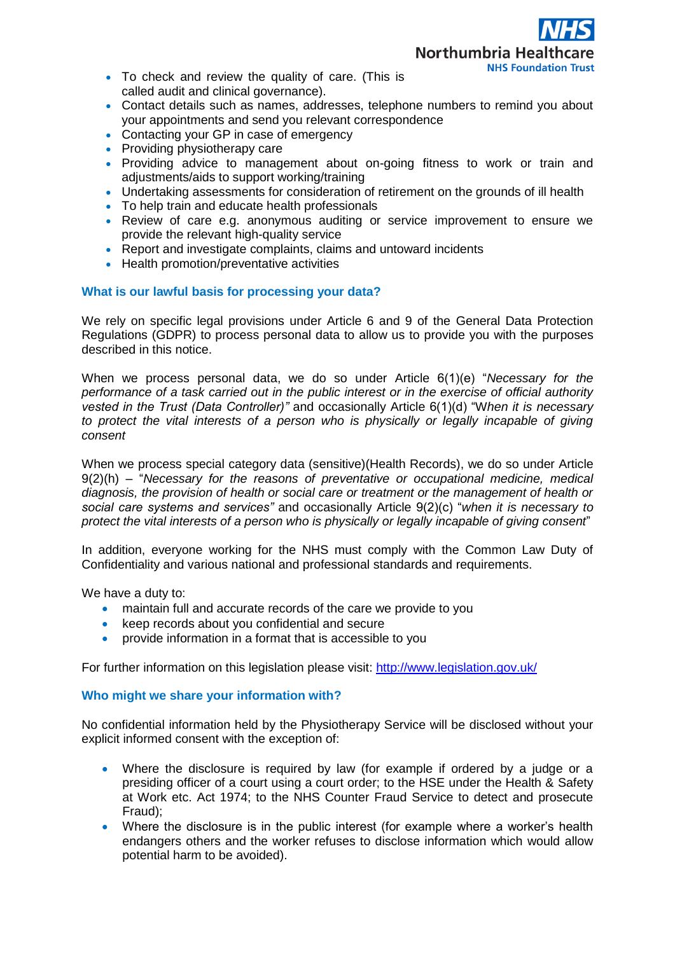

- To check and review the quality of care. (This is called audit and clinical governance).
- Contact details such as names, addresses, telephone numbers to remind you about your appointments and send you relevant correspondence
- Contacting your GP in case of emergency
- Providing physiotherapy care
- Providing advice to management about on-going fitness to work or train and adjustments/aids to support working/training
- Undertaking assessments for consideration of retirement on the grounds of ill health
- To help train and educate health professionals
- Review of care e.g. anonymous auditing or service improvement to ensure we provide the relevant high-quality service
- Report and investigate complaints, claims and untoward incidents
- Health promotion/preventative activities

# **What is our lawful basis for processing your data?**

We rely on specific legal provisions under Article 6 and 9 of the General Data Protection Regulations (GDPR) to process personal data to allow us to provide you with the purposes described in this notice.

When we process personal data, we do so under Article 6(1)(e) "*Necessary for the performance of a task carried out in the public interest or in the exercise of official authority vested in the Trust (Data Controller)"* and occasionally Article 6(1)(d) "W*hen it is necessary to protect the vital interests of a person who is physically or legally incapable of giving consent* 

When we process special category data (sensitive)(Health Records), we do so under Article 9(2)(h) – "*Necessary for the reasons of preventative or occupational medicine, medical diagnosis, the provision of health or social care or treatment or the management of health or social care systems and services"* and occasionally Article 9(2)(c) "*when it is necessary to protect the vital interests of a person who is physically or legally incapable of giving consent*"

In addition, everyone working for the NHS must comply with the Common Law Duty of Confidentiality and various national and professional standards and requirements.

We have a duty to:

- maintain full and accurate records of the care we provide to you
- keep records about you confidential and secure
- provide information in a format that is accessible to you

For further information on this legislation please visit:<http://www.legislation.gov.uk/>

## **Who might we share your information with?**

No confidential information held by the Physiotherapy Service will be disclosed without your explicit informed consent with the exception of:

- Where the disclosure is required by law (for example if ordered by a judge or a presiding officer of a court using a court order; to the HSE under the Health & Safety at Work etc. Act 1974; to the NHS Counter Fraud Service to detect and prosecute Fraud);
- Where the disclosure is in the public interest (for example where a worker's health endangers others and the worker refuses to disclose information which would allow potential harm to be avoided).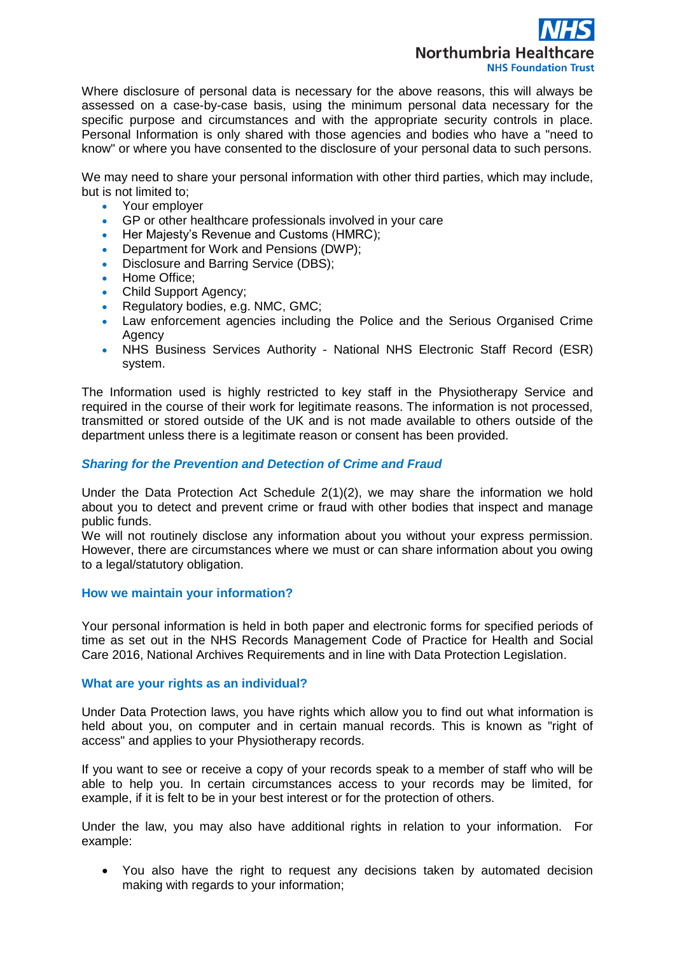

Where disclosure of personal data is necessary for the above reasons, this will always be assessed on a case-by-case basis, using the minimum personal data necessary for the specific purpose and circumstances and with the appropriate security controls in place. Personal Information is only shared with those agencies and bodies who have a "need to know" or where you have consented to the disclosure of your personal data to such persons.

We may need to share your personal information with other third parties, which may include, but is not limited to;

- Your employer
- GP or other healthcare professionals involved in your care<br>• Her Maiesty's Revenue and Customs (HMRC)
- Her Majesty's Revenue and Customs (HMRC);
- Department for Work and Pensions (DWP);
- Disclosure and Barring Service (DBS);
- Home Office;
- Child Support Agency;
- Regulatory bodies, e.g. NMC, GMC;
- Law enforcement agencies including the Police and the Serious Organised Crime Agency
- NHS Business Services Authority National NHS Electronic Staff Record (ESR) system.

The Information used is highly restricted to key staff in the Physiotherapy Service and required in the course of their work for legitimate reasons. The information is not processed, transmitted or stored outside of the UK and is not made available to others outside of the department unless there is a legitimate reason or consent has been provided.

### *Sharing for the Prevention and Detection of Crime and Fraud*

Under the Data Protection Act Schedule 2(1)(2), we may share the information we hold about you to detect and prevent crime or fraud with other bodies that inspect and manage public funds.

We will not routinely disclose any information about you without your express permission. However, there are circumstances where we must or can share information about you owing to a legal/statutory obligation.

### **How we maintain your information?**

Your personal information is held in both paper and electronic forms for specified periods of time as set out in the NHS Records Management Code of Practice for Health and Social Care 2016, National Archives Requirements and in line with Data Protection Legislation.

### **What are your rights as an individual?**

Under Data Protection laws, you have rights which allow you to find out what information is held about you, on computer and in certain manual records. This is known as "right of access" and applies to your Physiotherapy records.

If you want to see or receive a copy of your records speak to a member of staff who will be able to help you. In certain circumstances access to your records may be limited, for example, if it is felt to be in your best interest or for the protection of others.

Under the law, you may also have additional rights in relation to your information. For example:

• You also have the right to request any decisions taken by automated decision making with regards to your information;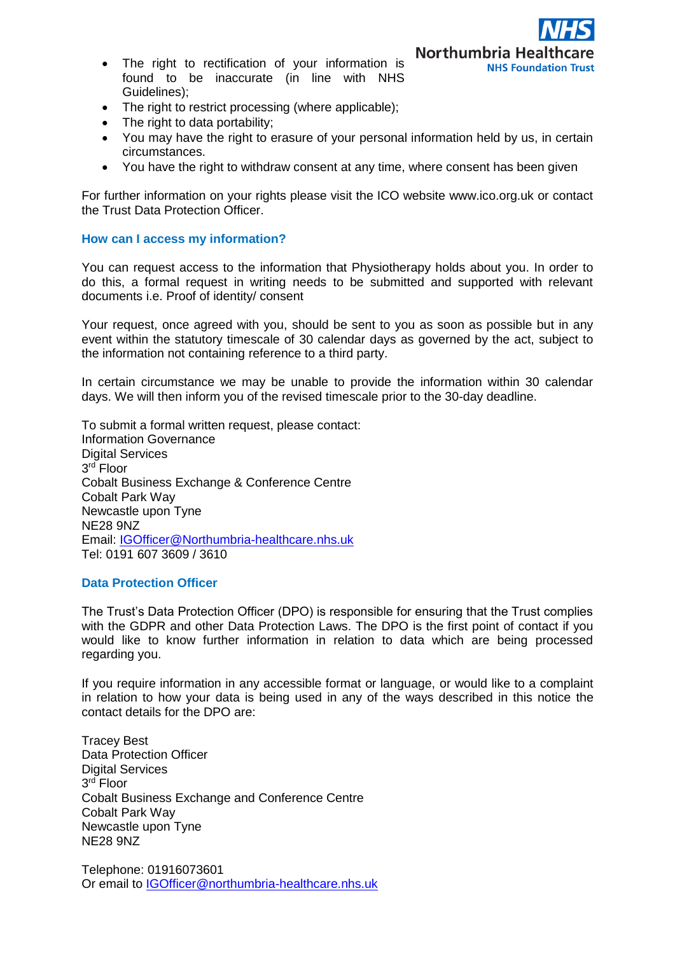- The right to rectification of your information is found to be inaccurate (in line with NHS Guidelines);
- The right to restrict processing (where applicable);
- The right to data portability;
- You may have the right to erasure of your personal information held by us, in certain circumstances.

**Northumbria Healtho** 

**NHS Foundation Trust** 

• You have the right to withdraw consent at any time, where consent has been given

For further information on your rights please visit the ICO website www.ico.org.uk or contact the Trust Data Protection Officer.

### **How can I access my information?**

You can request access to the information that Physiotherapy holds about you. In order to do this, a formal request in writing needs to be submitted and supported with relevant documents i.e. Proof of identity/ consent

Your request, once agreed with you, should be sent to you as soon as possible but in any event within the statutory timescale of 30 calendar days as governed by the act, subject to the information not containing reference to a third party.

In certain circumstance we may be unable to provide the information within 30 calendar days. We will then inform you of the revised timescale prior to the 30-day deadline.

To submit a formal written request, please contact: Information Governance Digital Services 3 rd Floor Cobalt Business Exchange & Conference Centre Cobalt Park Way Newcastle upon Tyne NE28 9NZ Email: [IGOfficer@Northumbria-healthcare.nhs.uk](mailto:IGOfficer@Northumbria-healthcare.nhs.uk) Tel: 0191 607 3609 / 3610

### **Data Protection Officer**

The Trust's Data Protection Officer (DPO) is responsible for ensuring that the Trust complies with the GDPR and other Data Protection Laws. The DPO is the first point of contact if you would like to know further information in relation to data which are being processed regarding you.

If you require information in any accessible format or language, or would like to a complaint in relation to how your data is being used in any of the ways described in this notice the contact details for the DPO are:

Tracey Best Data Protection Officer Digital Services 3 rd Floor Cobalt Business Exchange and Conference Centre Cobalt Park Way Newcastle upon Tyne NE28 9NZ

Telephone: 01916073601 Or email to [IGOfficer@northumbria-healthcare.nhs.uk](mailto:IGOfficer@northumbria-healthcare.nhs.uk)